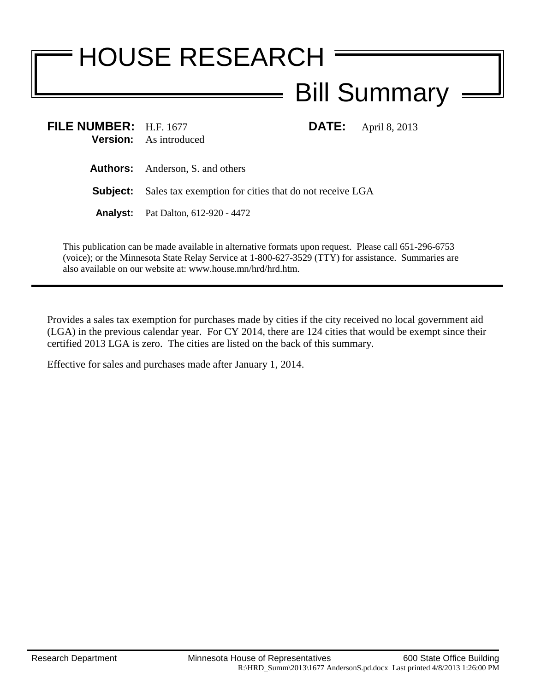## HOUSE RESEARCH Bill Summary

| FILE NUMBER: $H.F. 1677$ | <b>Version:</b> As introduced                                          |  | <b>DATE:</b> April 8, 2013 |
|--------------------------|------------------------------------------------------------------------|--|----------------------------|
|                          | <b>Authors:</b> Anderson, S. and others                                |  |                            |
|                          | <b>Subject:</b> Sales tax exemption for cities that do not receive LGA |  |                            |
|                          | <b>Analyst:</b> Pat Dalton, 612-920 - 4472                             |  |                            |
|                          |                                                                        |  |                            |

This publication can be made available in alternative formats upon request. Please call 651-296-6753 (voice); or the Minnesota State Relay Service at 1-800-627-3529 (TTY) for assistance. Summaries are also available on our website at: www.house.mn/hrd/hrd.htm.

Provides a sales tax exemption for purchases made by cities if the city received no local government aid (LGA) in the previous calendar year. For CY 2014, there are 124 cities that would be exempt since their certified 2013 LGA is zero. The cities are listed on the back of this summary.

Effective for sales and purchases made after January 1, 2014.